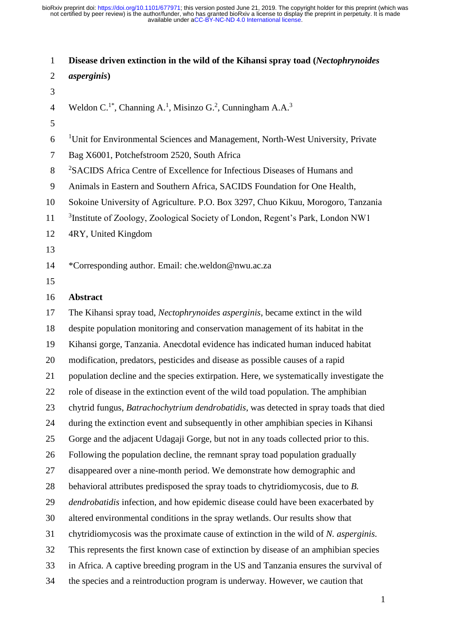**Disease driven extinction in the wild of the Kihansi spray toad (***Nectophrynoides asperginis***)** Weldon C.<sup>1\*</sup>, Channing A.<sup>1</sup>, Misinzo G.<sup>2</sup>, Cunningham A.A.<sup>3</sup> 6 <sup>1</sup>Unit for Environmental Sciences and Management, North-West University, Private Bag X6001, Potchefstroom 2520, South Africa <sup>2</sup>SACIDS Africa Centre of Excellence for Infectious Diseases of Humans and Animals in Eastern and Southern Africa, SACIDS Foundation for One Health, Sokoine University of Agriculture. P.O. Box 3297, Chuo Kikuu, Morogoro, Tanzania 11 <sup>3</sup>Institute of Zoology, Zoological Society of London, Regent's Park, London NW1 4RY, United Kingdom \*Corresponding author. Email: [che.weldon@nwu.ac.za](mailto:che.weldon@nwu.ac.za) **Abstract**  The Kihansi spray toad, *Nectophrynoides asperginis,* became extinct in the wild despite population monitoring and conservation management of its habitat in the Kihansi gorge, Tanzania. Anecdotal evidence has indicated human induced habitat modification, predators, pesticides and disease as possible causes of a rapid population decline and the species extirpation. Here, we systematically investigate the role of disease in the extinction event of the wild toad population. The amphibian chytrid fungus, *Batrachochytrium dendrobatidis*, was detected in spray toads that died during the extinction event and subsequently in other amphibian species in Kihansi Gorge and the adjacent Udagaji Gorge, but not in any toads collected prior to this. Following the population decline, the remnant spray toad population gradually disappeared over a nine-month period. We demonstrate how demographic and behavioral attributes predisposed the spray toads to chytridiomycosis, due to *B. dendrobatidis* infection, and how epidemic disease could have been exacerbated by altered environmental conditions in the spray wetlands. Our results show that chytridiomycosis was the proximate cause of extinction in the wild of *N. asperginis.* This represents the first known case of extinction by disease of an amphibian species in Africa. A captive breeding program in the US and Tanzania ensures the survival of the species and a reintroduction program is underway. However, we caution that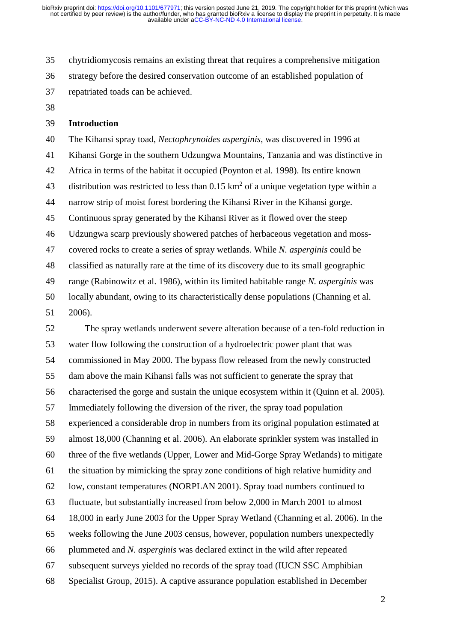chytridiomycosis remains an existing threat that requires a comprehensive mitigation strategy before the desired conservation outcome of an established population of repatriated toads can be achieved.

#### **Introduction**

 The Kihansi spray toad, *Nectophrynoides asperginis*, was discovered in 1996 at Kihansi Gorge in the southern Udzungwa Mountains, Tanzania and was distinctive in Africa in terms of the habitat it occupied (Poynton et al*.* 1998). Its entire known 43 distribution was restricted to less than  $0.15 \text{ km}^2$  of a unique vegetation type within a narrow strip of moist forest bordering the Kihansi River in the Kihansi gorge. Continuous spray generated by the Kihansi River as it flowed over the steep Udzungwa scarp previously showered patches of herbaceous vegetation and moss- covered rocks to create a series of spray wetlands. While *N. asperginis* could be classified as naturally rare at the time of its discovery due to its small geographic range (Rabinowitz et al. 1986), within its limited habitable range *N. asperginis* was locally abundant, owing to its characteristically dense populations (Channing et al.

2006).

 The spray wetlands underwent severe alteration because of a ten-fold reduction in water flow following the construction of a hydroelectric power plant that was commissioned in May 2000. The bypass flow released from the newly constructed dam above the main Kihansi falls was not sufficient to generate the spray that characterised the gorge and sustain the unique ecosystem within it (Quinn et al. 2005). Immediately following the diversion of the river, the spray toad population experienced a considerable drop in numbers from its original population estimated at almost 18,000 (Channing et al. 2006). An elaborate sprinkler system was installed in three of the five wetlands (Upper, Lower and Mid-Gorge Spray Wetlands) to mitigate the situation by mimicking the spray zone conditions of high relative humidity and low, constant temperatures (NORPLAN 2001). Spray toad numbers continued to fluctuate, but substantially increased from below 2,000 in March 2001 to almost 18,000 in early June 2003 for the Upper Spray Wetland (Channing et al. 2006). In the weeks following the June 2003 census, however, population numbers unexpectedly plummeted and *N. asperginis* was declared extinct in the wild after repeated subsequent surveys yielded no records of the spray toad (IUCN SSC Amphibian Specialist Group, 2015). A captive assurance population established in December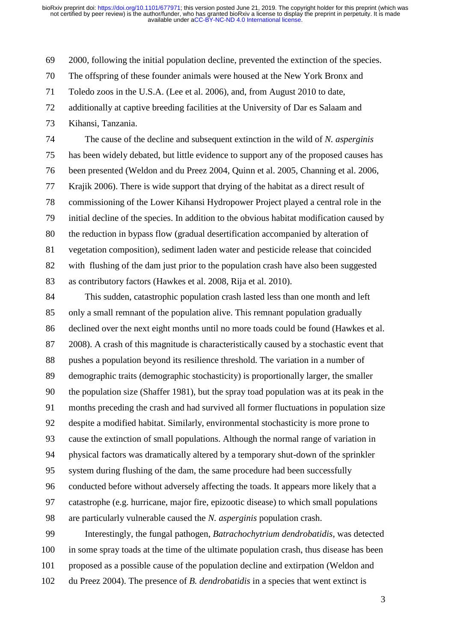2000, following the initial population decline, prevented the extinction of the species.

The offspring of these founder animals were housed at the New York Bronx and

Toledo zoos in the U.S.A. (Lee et al. 2006), and, from August 2010 to date,

additionally at captive breeding facilities at the University of Dar es Salaam and

Kihansi, Tanzania.

 The cause of the decline and subsequent extinction in the wild of *N. asperginis* has been widely debated, but little evidence to support any of the proposed causes has been presented (Weldon and du Preez 2004, Quinn et al. 2005, Channing et al. 2006, Krajik 2006). There is wide support that drying of the habitat as a direct result of commissioning of the Lower Kihansi Hydropower Project played a central role in the initial decline of the species. In addition to the obvious habitat modification caused by the reduction in bypass flow (gradual desertification accompanied by alteration of vegetation composition), sediment laden water and pesticide release that coincided with flushing of the dam just prior to the population crash have also been suggested as contributory factors (Hawkes et al. 2008, Rija et al. 2010).

 This sudden, catastrophic population crash lasted less than one month and left only a small remnant of the population alive. This remnant population gradually declined over the next eight months until no more toads could be found (Hawkes et al. 2008). A crash of this magnitude is characteristically caused by a stochastic event that pushes a population beyond its resilience threshold. The variation in a number of demographic traits (demographic stochasticity) is proportionally larger, the smaller the population size (Shaffer 1981), but the spray toad population was at its peak in the months preceding the crash and had survived all former fluctuations in population size despite a modified habitat. Similarly, environmental stochasticity is more prone to cause the extinction of small populations. Although the normal range of variation in physical factors was dramatically altered by a temporary shut-down of the sprinkler system during flushing of the dam, the same procedure had been successfully conducted before without adversely affecting the toads. It appears more likely that a catastrophe (e.g. hurricane, major fire, epizootic disease) to which small populations are particularly vulnerable caused the *N. asperginis* population crash. Interestingly, the fungal pathogen, *Batrachochytrium dendrobatidis*, was detected

 in some spray toads at the time of the ultimate population crash, thus disease has been proposed as a possible cause of the population decline and extirpation (Weldon and du Preez 2004). The presence of *B. dendrobatidis* in a species that went extinct is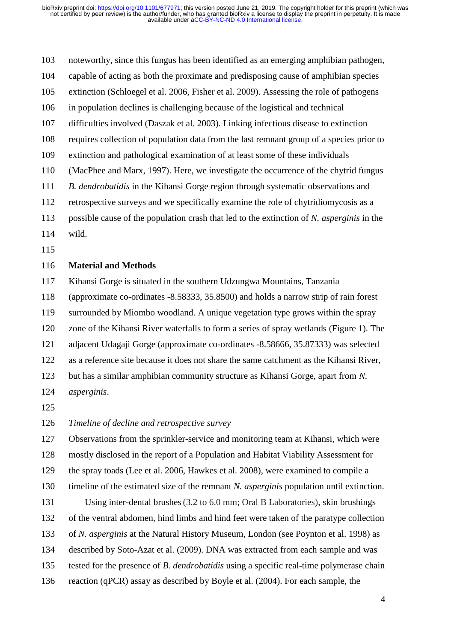noteworthy, since this fungus has been identified as an emerging amphibian pathogen, capable of acting as both the proximate and predisposing cause of amphibian species extinction (Schloegel et al. 2006, Fisher et al. 2009). Assessing the role of pathogens in population declines is challenging because of the logistical and technical difficulties involved (Daszak et al. 2003). Linking infectious disease to extinction requires collection of population data from the last remnant group of a species prior to extinction and pathological examination of at least some of these individuals (MacPhee and Marx, 1997). Here, we investigate the occurrence of the chytrid fungus *B. dendrobatidis* in the Kihansi Gorge region through systematic observations and retrospective surveys and we specifically examine the role of chytridiomycosis as a possible cause of the population crash that led to the extinction of *N. asperginis* in the wild.

#### **Material and Methods**

Kihansi Gorge is situated in the southern Udzungwa Mountains, Tanzania

(approximate co-ordinates -8.58333, 35.8500) and holds a narrow strip of rain forest

surrounded by Miombo woodland. A unique vegetation type grows within the spray

zone of the Kihansi River waterfalls to form a series of spray wetlands (Figure 1). The

adjacent Udagaji Gorge (approximate co-ordinates -8.58666, 35.87333) was selected

as a reference site because it does not share the same catchment as the Kihansi River,

but has a similar amphibian community structure as Kihansi Gorge, apart from *N.* 

*asperginis*.

*Timeline of decline and retrospective survey*

Observations from the sprinkler-service and monitoring team at Kihansi, which were

mostly disclosed in the report of a Population and Habitat Viability Assessment for

the spray toads (Lee et al. 2006, Hawkes et al. 2008), were examined to compile a

timeline of the estimated size of the remnant *N. asperginis* population until extinction.

 Using inter-dental brushes(3.2 to 6.0 mm; Oral B Laboratories), skin brushings of the ventral abdomen, hind limbs and hind feet were taken of the paratype collection

of *N. asperginis* at the Natural History Museum, London (see Poynton et al. 1998) as

described by Soto-Azat et al. (2009). DNA was extracted from each sample and was

tested for the presence of *B. dendrobatidis* using a specific real-time polymerase chain

reaction (qPCR) assay as described by Boyle et al. (2004). For each sample, the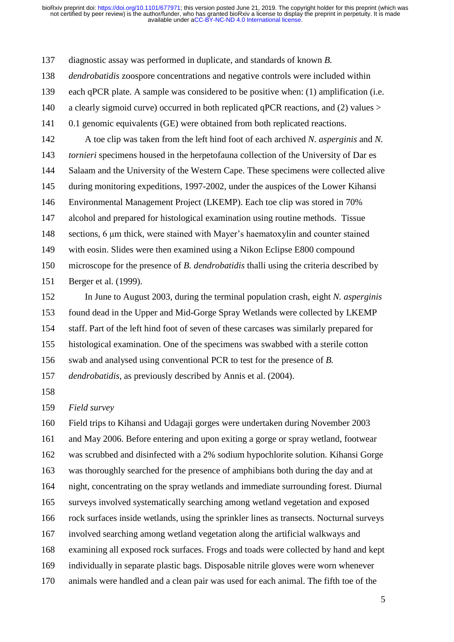diagnostic assay was performed in duplicate, and standards of known *B.* 

*dendrobatidis* zoospore concentrations and negative controls were included within

each qPCR plate. A sample was considered to be positive when: (1) amplification (i.e.

- 140 a clearly sigmoid curve) occurred in both replicated qPCR reactions, and (2) values >
- 0.1 genomic equivalents (GE) were obtained from both replicated reactions.

 A toe clip was taken from the left hind foot of each archived *N. asperginis* and *N. tornieri* specimens housed in the herpetofauna collection of the University of Dar es Salaam and the University of the Western Cape. These specimens were collected alive during monitoring expeditions, 1997-2002, under the auspices of the Lower Kihansi Environmental Management Project (LKEMP). Each toe clip was stored in 70% alcohol and prepared for histological examination using routine methods. Tissue sections, 6 μm thick, were stained with Mayer's haematoxylin and counter stained with eosin. Slides were then examined using a Nikon Eclipse E800 compound microscope for the presence of *B. dendrobatidis* thalli using the criteria described by Berger et al. (1999).

 In June to August 2003, during the terminal population crash, eight *N. asperginis* found dead in the Upper and Mid-Gorge Spray Wetlands were collected by LKEMP staff. Part of the left hind foot of seven of these carcases was similarly prepared for histological examination. One of the specimens was swabbed with a sterile cotton swab and analysed using conventional PCR to test for the presence of *B.* 

*dendrobatidis*, as previously described by Annis et al. (2004).

*Field survey* 

 Field trips to Kihansi and Udagaji gorges were undertaken during November 2003 and May 2006. Before entering and upon exiting a gorge or spray wetland, footwear was scrubbed and disinfected with a 2% sodium hypochlorite solution. Kihansi Gorge was thoroughly searched for the presence of amphibians both during the day and at night, concentrating on the spray wetlands and immediate surrounding forest. Diurnal surveys involved systematically searching among wetland vegetation and exposed rock surfaces inside wetlands, using the sprinkler lines as transects. Nocturnal surveys involved searching among wetland vegetation along the artificial walkways and examining all exposed rock surfaces. Frogs and toads were collected by hand and kept individually in separate plastic bags. Disposable nitrile gloves were worn whenever animals were handled and a clean pair was used for each animal. The fifth toe of the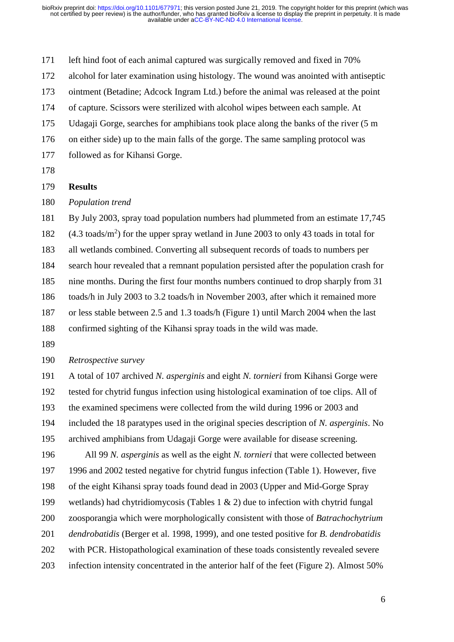left hind foot of each animal captured was surgically removed and fixed in 70%

alcohol for later examination using histology. The wound was anointed with antiseptic

ointment (Betadine; Adcock Ingram Ltd.) before the animal was released at the point

of capture. Scissors were sterilized with alcohol wipes between each sample. At

Udagaji Gorge, searches for amphibians took place along the banks of the river (5 m

on either side) up to the main falls of the gorge. The same sampling protocol was

- followed as for Kihansi Gorge.
- 

### **Results**

*Population trend* 

 By July 2003, spray toad population numbers had plummeted from an estimate 17,745 182 (4.3 toads/m<sup>2</sup>) for the upper spray wetland in June 2003 to only 43 toads in total for all wetlands combined. Converting all subsequent records of toads to numbers per search hour revealed that a remnant population persisted after the population crash for nine months. During the first four months numbers continued to drop sharply from 31 toads/h in July 2003 to 3.2 toads/h in November 2003, after which it remained more or less stable between 2.5 and 1.3 toads/h (Figure 1) until March 2004 when the last confirmed sighting of the Kihansi spray toads in the wild was made.

*Retrospective survey* 

 A total of 107 archived *N. asperginis* and eight *N. tornieri* from Kihansi Gorge were tested for chytrid fungus infection using histological examination of toe clips. All of the examined specimens were collected from the wild during 1996 or 2003 and included the 18 paratypes used in the original species description of *N. asperginis*. No archived amphibians from Udagaji Gorge were available for disease screening.

 All 99 *N. asperginis* as well as the eight *N. tornieri* that were collected between 1996 and 2002 tested negative for chytrid fungus infection (Table 1). However, five of the eight Kihansi spray toads found dead in 2003 (Upper and Mid-Gorge Spray wetlands) had chytridiomycosis (Tables 1 & 2) due to infection with chytrid fungal zoosporangia which were morphologically consistent with those of *Batrachochytrium dendrobatidis* (Berger et al. 1998, 1999), and one tested positive for *B. dendrobatidis* with PCR. Histopathological examination of these toads consistently revealed severe infection intensity concentrated in the anterior half of the feet (Figure 2). Almost 50%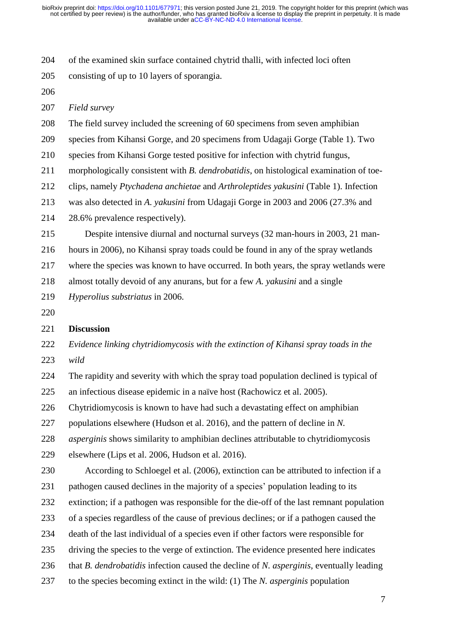of the examined skin surface contained chytrid thalli, with infected loci often

consisting of up to 10 layers of sporangia.

*Field survey* 

The field survey included the screening of 60 specimens from seven amphibian

species from Kihansi Gorge, and 20 specimens from Udagaji Gorge (Table 1). Two

species from Kihansi Gorge tested positive for infection with chytrid fungus,

morphologically consistent with *B. dendrobatidis*, on histological examination of toe-

clips, namely *Ptychadena anchietae* and *Arthroleptides yakusini* (Table 1). Infection

was also detected in *A. yakusini* from Udagaji Gorge in 2003 and 2006 (27.3% and

28.6% prevalence respectively).

Despite intensive diurnal and nocturnal surveys (32 man-hours in 2003, 21 man-

hours in 2006), no Kihansi spray toads could be found in any of the spray wetlands

where the species was known to have occurred. In both years, the spray wetlands were

almost totally devoid of any anurans, but for a few *A. yakusini* and a single

*Hyperolius substriatus* in 2006.

# **Discussion**

 *Evidence linking chytridiomycosis with the extinction of Kihansi spray toads in the wild*

 The rapidity and severity with which the spray toad population declined is typical of an infectious disease epidemic in a naïve host (Rachowicz et al. 2005).

Chytridiomycosis is known to have had such a devastating effect on amphibian

populations elsewhere (Hudson et al. 2016), and the pattern of decline in *N.* 

*asperginis* shows similarity to amphibian declines attributable to chytridiomycosis

elsewhere (Lips et al. 2006, Hudson et al. 2016).

 According to Schloegel et al. (2006), extinction can be attributed to infection if a pathogen caused declines in the majority of a species' population leading to its

extinction; if a pathogen was responsible for the die-off of the last remnant population

of a species regardless of the cause of previous declines; or if a pathogen caused the

death of the last individual of a species even if other factors were responsible for

- driving the species to the verge of extinction. The evidence presented here indicates
- that *B. dendrobatidis* infection caused the decline of *N. asperginis*, eventually leading
- to the species becoming extinct in the wild: (1) The *N. asperginis* population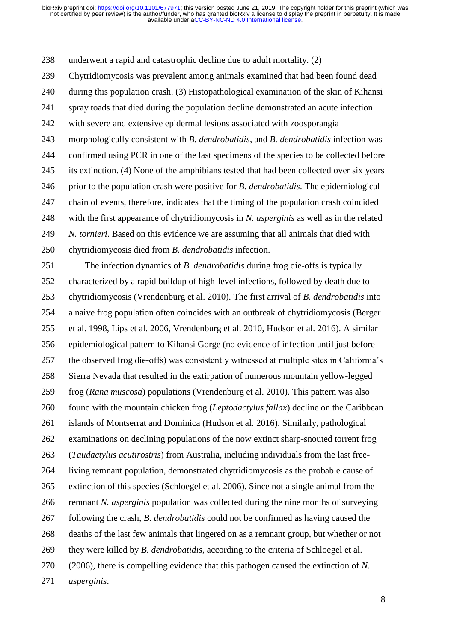underwent a rapid and catastrophic decline due to adult mortality. (2)

Chytridiomycosis was prevalent among animals examined that had been found dead

during this population crash. (3) Histopathological examination of the skin of Kihansi

spray toads that died during the population decline demonstrated an acute infection

with severe and extensive epidermal lesions associated with zoosporangia

 morphologically consistent with *B. dendrobatidis*, and *B. dendrobatidis* infection was confirmed using PCR in one of the last specimens of the species to be collected before its extinction. (4) None of the amphibians tested that had been collected over six years prior to the population crash were positive for *B. dendrobatidis*. The epidemiological chain of events, therefore, indicates that the timing of the population crash coincided with the first appearance of chytridiomycosis in *N. asperginis* as well as in the related *N. tornieri*. Based on this evidence we are assuming that all animals that died with chytridiomycosis died from *B. dendrobatidis* infection.

 The infection dynamics of *B. dendrobatidis* during frog die-offs is typically characterized by a rapid buildup of high-level infections, followed by death due to chytridiomycosis (Vrendenburg et al. 2010). The first arrival of *B. dendrobatidis* into a naive frog population often coincides with an outbreak of chytridiomycosis (Berger et al. 1998, Lips et al. 2006, Vrendenburg et al. 2010, Hudson et al. 2016). A similar epidemiological pattern to Kihansi Gorge (no evidence of infection until just before the observed frog die-offs) was consistently witnessed at multiple sites in California's Sierra Nevada that resulted in the extirpation of numerous mountain yellow-legged frog (*Rana muscosa*) populations (Vrendenburg et al. 2010). This pattern was also found with the mountain chicken frog (*Leptodactylus fallax*) decline on the Caribbean islands of Montserrat and Dominica (Hudson et al. 2016). Similarly, pathological examinations on declining populations of the now extinct sharp-snouted torrent frog (*Taudactylus acutirostris*) from Australia, including individuals from the last free- living remnant population, demonstrated chytridiomycosis as the probable cause of extinction of this species (Schloegel et al. 2006). Since not a single animal from the remnant *N. asperginis* population was collected during the nine months of surveying following the crash, *B. dendrobatidis* could not be confirmed as having caused the deaths of the last few animals that lingered on as a remnant group, but whether or not they were killed by *B. dendrobatidis*, according to the criteria of Schloegel et al. (2006), there is compelling evidence that this pathogen caused the extinction of *N. asperginis*.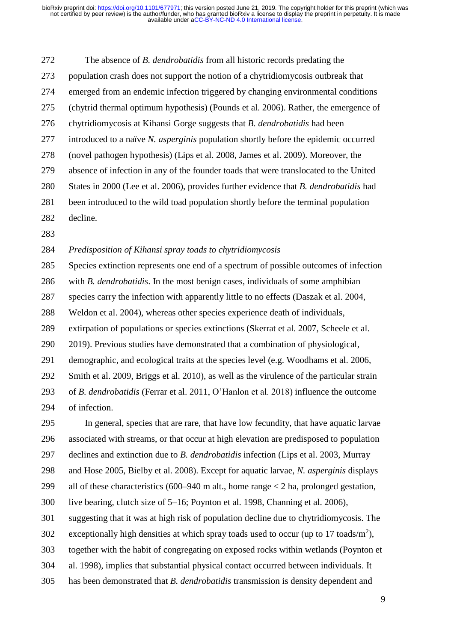The absence of *B. dendrobatidis* from all historic records predating the population crash does not support the notion of a chytridiomycosis outbreak that emerged from an endemic infection triggered by changing environmental conditions (chytrid thermal optimum hypothesis) (Pounds et al. 2006). Rather, the emergence of chytridiomycosis at Kihansi Gorge suggests that *B. dendrobatidis* had been introduced to a naïve *N. asperginis* population shortly before the epidemic occurred (novel pathogen hypothesis) (Lips et al. 2008, James et al. 2009). Moreover, the absence of infection in any of the founder toads that were translocated to the United States in 2000 (Lee et al. 2006), provides further evidence that *B. dendrobatidis* had been introduced to the wild toad population shortly before the terminal population decline.

### *Predisposition of Kihansi spray toads to chytridiomycosis*

Species extinction represents one end of a spectrum of possible outcomes of infection

with *B. dendrobatidis*. In the most benign cases, individuals of some amphibian

species carry the infection with apparently little to no effects (Daszak et al. 2004,

Weldon et al. 2004), whereas other species experience death of individuals,

extirpation of populations or species extinctions (Skerrat et al. 2007, Scheele et al.

2019). Previous studies have demonstrated that a combination of physiological,

demographic, and ecological traits at the species level (e.g. Woodhams et al. 2006,

Smith et al. 2009, Briggs et al. 2010), as well as the virulence of the particular strain

 of *B. dendrobatidis* (Ferrar et al. 2011, O'Hanlon et al. 2018) influence the outcome of infection.

 In general, species that are rare, that have low fecundity, that have aquatic larvae associated with streams, or that occur at high elevation are predisposed to population

declines and extinction due to *B. dendrobatidis* infection (Lips et al. 2003, Murray

and Hose 2005, Bielby et al. 2008). Except for aquatic larvae, *N. asperginis* displays

all of these characteristics (600–940 m alt., home range < 2 ha, prolonged gestation,

live bearing, clutch size of 5–16; Poynton et al. 1998, Channing et al. 2006),

suggesting that it was at high risk of population decline due to chytridiomycosis. The

302 exceptionally high densities at which spray toads used to occur (up to 17 toads/m<sup>2</sup>),

together with the habit of congregating on exposed rocks within wetlands (Poynton et

al. 1998), implies that substantial physical contact occurred between individuals. It

has been demonstrated that *B. dendrobatidis* transmission is density dependent and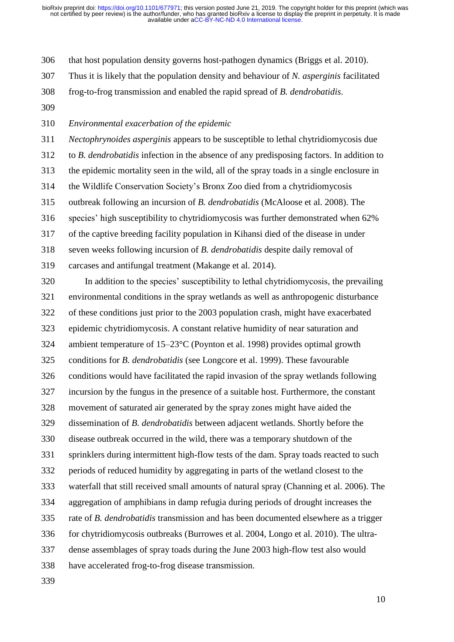that host population density governs host-pathogen dynamics (Briggs et al. 2010).

Thus it is likely that the population density and behaviour of *N. asperginis* facilitated

frog-to-frog transmission and enabled the rapid spread of *B. dendrobatidis*.

*Environmental exacerbation of the epidemic* 

 *Nectophrynoides asperginis* appears to be susceptible to lethal chytridiomycosis due to *B. dendrobatidis* infection in the absence of any predisposing factors. In addition to the epidemic mortality seen in the wild, all of the spray toads in a single enclosure in the Wildlife Conservation Society's Bronx Zoo died from a chytridiomycosis outbreak following an incursion of *B. dendrobatidis* (McAloose et al. 2008). The species' high susceptibility to chytridiomycosis was further demonstrated when 62% of the captive breeding facility population in Kihansi died of the disease in under seven weeks following incursion of *B. dendrobatidis* despite daily removal of carcases and antifungal treatment (Makange et al. 2014).

 In addition to the species' susceptibility to lethal chytridiomycosis, the prevailing environmental conditions in the spray wetlands as well as anthropogenic disturbance of these conditions just prior to the 2003 population crash, might have exacerbated epidemic chytridiomycosis. A constant relative humidity of near saturation and ambient temperature of 15–23°C (Poynton et al. 1998) provides optimal growth conditions for *B. dendrobatidis* (see Longcore et al. 1999). These favourable conditions would have facilitated the rapid invasion of the spray wetlands following incursion by the fungus in the presence of a suitable host. Furthermore, the constant movement of saturated air generated by the spray zones might have aided the dissemination of *B. dendrobatidis* between adjacent wetlands. Shortly before the disease outbreak occurred in the wild, there was a temporary shutdown of the sprinklers during intermittent high-flow tests of the dam. Spray toads reacted to such periods of reduced humidity by aggregating in parts of the wetland closest to the waterfall that still received small amounts of natural spray (Channing et al. 2006). The aggregation of amphibians in damp refugia during periods of drought increases the rate of *B. dendrobatidis* transmission and has been documented elsewhere as a trigger for chytridiomycosis outbreaks (Burrowes et al. 2004, Longo et al. 2010). The ultra- dense assemblages of spray toads during the June 2003 high-flow test also would have accelerated frog-to-frog disease transmission.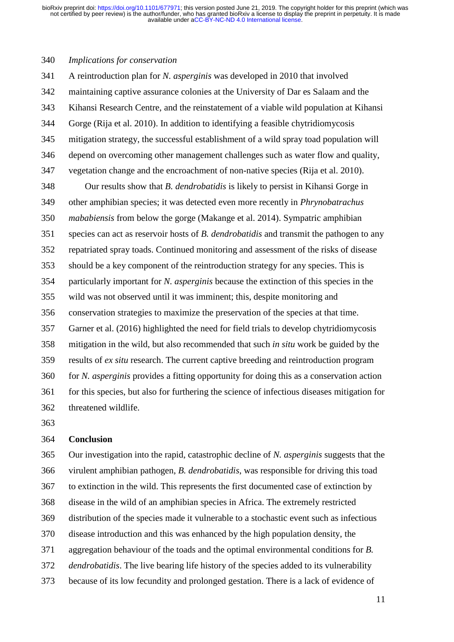#### *Implications for conservation*

 A reintroduction plan for *N. asperginis* was developed in 2010 that involved maintaining captive assurance colonies at the University of Dar es Salaam and the Kihansi Research Centre, and the reinstatement of a viable wild population at Kihansi Gorge (Rija et al. 2010). In addition to identifying a feasible chytridiomycosis mitigation strategy, the successful establishment of a wild spray toad population will depend on overcoming other management challenges such as water flow and quality, vegetation change and the encroachment of non-native species (Rija et al. 2010).

 Our results show that *B. dendrobatidis* is likely to persist in Kihansi Gorge in other amphibian species; it was detected even more recently in *Phrynobatrachus mababiensis* from below the gorge (Makange et al. 2014). Sympatric amphibian species can act as reservoir hosts of *B. dendrobatidis* and transmit the pathogen to any repatriated spray toads. Continued monitoring and assessment of the risks of disease should be a key component of the reintroduction strategy for any species. This is particularly important for *N. asperginis* because the extinction of this species in the wild was not observed until it was imminent; this, despite monitoring and conservation strategies to maximize the preservation of the species at that time. Garner et al. (2016) highlighted the need for field trials to develop chytridiomycosis mitigation in the wild, but also recommended that such *in situ* work be guided by the results of *ex situ* research. The current captive breeding and reintroduction program for *N. asperginis* provides a fitting opportunity for doing this as a conservation action for this species, but also for furthering the science of infectious diseases mitigation for threatened wildlife.

### **Conclusion**

 Our investigation into the rapid, catastrophic decline of *N. asperginis* suggests that the virulent amphibian pathogen, *B. dendrobatidis*, was responsible for driving this toad to extinction in the wild. This represents the first documented case of extinction by disease in the wild of an amphibian species in Africa. The extremely restricted distribution of the species made it vulnerable to a stochastic event such as infectious disease introduction and this was enhanced by the high population density, the aggregation behaviour of the toads and the optimal environmental conditions for *B. dendrobatidis*. The live bearing life history of the species added to its vulnerability because of its low fecundity and prolonged gestation. There is a lack of evidence of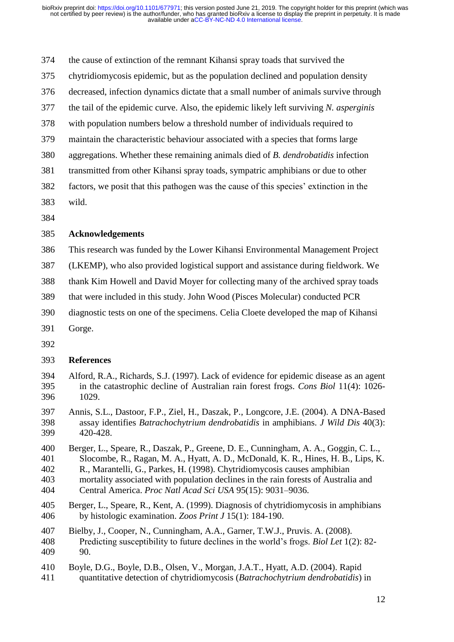the cause of extinction of the remnant Kihansi spray toads that survived the

- chytridiomycosis epidemic, but as the population declined and population density
- decreased, infection dynamics dictate that a small number of animals survive through
- the tail of the epidemic curve. Also, the epidemic likely left surviving *N. asperginis*
- with population numbers below a threshold number of individuals required to
- maintain the characteristic behaviour associated with a species that forms large
- aggregations. Whether these remaining animals died of *B. dendrobatidis* infection
- transmitted from other Kihansi spray toads, sympatric amphibians or due to other
- factors, we posit that this pathogen was the cause of this species' extinction in the
- wild.
- 

# **Acknowledgements**

- This research was funded by the Lower Kihansi Environmental Management Project
- (LKEMP), who also provided logistical support and assistance during fieldwork. We
- thank Kim Howell and David Moyer for collecting many of the archived spray toads
- that were included in this study. John Wood (Pisces Molecular) conducted PCR
- diagnostic tests on one of the specimens. Celia Cloete developed the map of Kihansi
- Gorge.
- 

# **References**

- Alford, R.A., Richards, S.J. (1997). Lack of evidence for epidemic disease as an agent in the catastrophic decline of Australian rain forest frogs. *Cons Biol* 11(4): 1026- 1029.
- Annis, S.L., Dastoor, F.P., Ziel, H., Daszak, P., Longcore, J.E. (2004). A DNA-Based assay identifies *Batrachochytrium dendrobatidis* in amphibians. *J Wild Dis* 40(3): 420-428.
- Berger, L., Speare, R., Daszak, P., Greene, D. E., Cunningham, A. A., Goggin, C. L., Slocombe, R., Ragan, M. A., Hyatt, A. D., McDonald, K. R., Hines, H. B., Lips, K. R., Marantelli, G., Parkes, H. (1998). Chytridiomycosis causes amphibian mortality associated with population declines in the rain forests of Australia and
- Central America. *Proc Natl Acad Sci USA* 95(15): 9031–9036.
- Berger, L., Speare, R., Kent, A. (1999). Diagnosis of chytridiomycosis in amphibians by histologic examination. *Zoos Print J* 15(1): 184-190.
- Bielby, J., Cooper, N., Cunningham, A.A., Garner, T.W.J., Pruvis. A. (2008). Predicting susceptibility to future declines in the world's frogs. *Biol Let* 1(2): 82- 90.
- Boyle, D.G., Boyle, D.B., Olsen, V., Morgan, J.A.T., Hyatt, A.D. (2004). Rapid
- quantitative detection of chytridiomycosis (*Batrachochytrium dendrobatidis*) in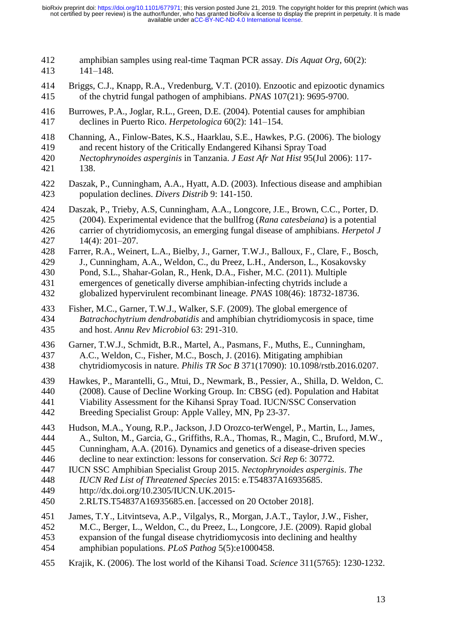amphibian samples using real-time Taqman PCR assay. *Dis Aquat Org*, 60(2): 141–148. Briggs, C.J., Knapp, R.A., Vredenburg, V.T. (2010). Enzootic and epizootic dynamics of the chytrid fungal pathogen of amphibians. *PNAS* 107(21): 9695-9700. Burrowes, P.A., Joglar, R.L., Green, D.E. (2004). Potential causes for amphibian declines in Puerto Rico. *Herpetologica* 60(2): 141–154. Channing, A., Finlow-Bates, K.S., Haarklau, S.E., Hawkes, P.G. (2006). The biology and recent history of the Critically Endangered Kihansi Spray Toad *Nectophrynoides asperginis* in Tanzania. *J East Afr Nat Hist* 95(Jul 2006): 117- 138. Daszak, P., Cunningham, A.A., Hyatt, A.D. (2003). Infectious disease and amphibian population declines. *Divers Distrib* 9: 141-150. Daszak, P., Trieby, A.S, Cunningham, A.A., Longcore, J.E., Brown, C.C., Porter, D. (2004). Experimental evidence that the bullfrog (*Rana catesbeiana*) is a potential carrier of chytridiomycosis, an emerging fungal disease of amphibians. *Herpetol J* 14(4): 201–207. Farrer, R.A., Weinert, L.A., Bielby, J., Garner, T.W.J., Balloux, F., Clare, F., Bosch, J., Cunningham, A.A., Weldon, C., du Preez, L.H., Anderson, L., Kosakovsky Pond, S.L., Shahar-Golan, R., Henk, D.A., Fisher, M.C. (2011). Multiple emergences of genetically diverse amphibian-infecting chytrids include a globalized hypervirulent recombinant lineage. *PNAS* 108(46): 18732-18736. Fisher, M.C., Garner, T.W.J., Walker, S.F. (2009). The global emergence of *Batrachochytrium dendrobatidis* and amphibian chytridiomycosis in space, time and host. *Annu Rev Microbiol* 63: 291-310. Garner, T.W.J., Schmidt, B.R., Martel, A., Pasmans, F., Muths, E., Cunningham, A.C., Weldon, C., Fisher, M.C., Bosch, J. (2016). Mitigating amphibian chytridiomycosis in nature. *Philis TR Soc B* 371(17090): 10.1098/rstb.2016.0207. Hawkes, P., Marantelli, G., Mtui, D., Newmark, B., Pessier, A., Shilla, D. Weldon, C. (2008). Cause of Decline Working Group. In: CBSG (ed). Population and Habitat Viability Assessment for the Kihansi Spray Toad. IUCN/SSC Conservation Breeding Specialist Group: Apple Valley, MN, Pp 23-37. Hudson, M.A., Young, R.P., Jackson, J.D Orozco-terWengel, P., Martin, L., James, A., Sulton, M., Garcia, G., Griffiths, R.A., Thomas, R., Magin, C., Bruford, M.W., Cunningham, A.A. (2016). Dynamics and genetics of a disease-driven species decline to near extinction: lessons for conservation. *Sci Rep* 6: 30772. IUCN SSC Amphibian Specialist Group 2015. *Nectophrynoides asperginis*. *The IUCN Red List of Threatened Species* 2015: e.T54837A16935685. [http://dx.doi.org/10.2305/IUCN.UK.2015-](http://dx.doi.org/10.2305/IUCN.UK.2015-2.RLTS.T54837A16935685.en) [2.RLTS.T54837A16935685.en.](http://dx.doi.org/10.2305/IUCN.UK.2015-2.RLTS.T54837A16935685.en) [accessed on 20 October 2018]. James, T.Y., Litvintseva, A.P., Vilgalys, R., Morgan, J.A.T., Taylor, J.W., Fisher, M.C., Berger, L., Weldon, C., du Preez, L., Longcore, J.E. (2009). Rapid global expansion of the fungal disease chytridiomycosis into declining and healthy amphibian populations. *PLoS Pathog* 5(5):e1000458. Krajik, K. (2006). The lost world of the Kihansi Toad. *Science* 311(5765): 1230-1232.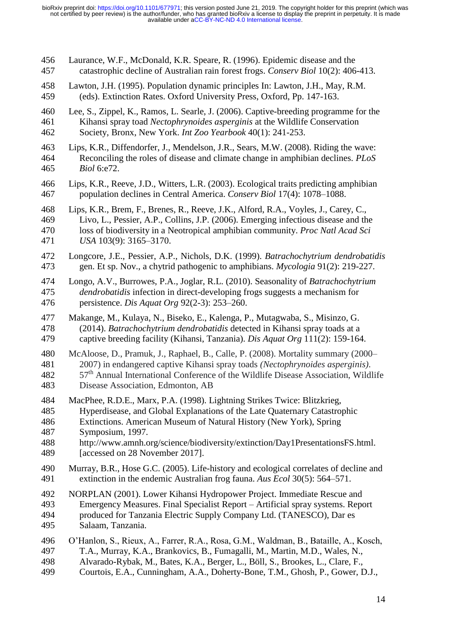Laurance, W.F., McDonald, K.R. Speare, R. (1996). Epidemic disease and the catastrophic decline of Australian rain forest frogs. *Conserv Biol* 10(2): 406-413. Lawton, J.H. (1995). Population dynamic principles In: Lawton, J.H., May, R.M. (eds). Extinction Rates. Oxford University Press, Oxford, Pp. 147-163. Lee, S., Zippel, K., Ramos, L. Searle, J. (2006). Captive-breeding programme for the Kihansi spray toad *Nectophrynoides asperginis* at the Wildlife Conservation Society, Bronx, New York. *Int Zoo Yearbook* 40(1): 241-253. Lips, K.R., Diffendorfer, J., Mendelson, J.R., Sears, M.W. (2008). Riding the wave: Reconciling the roles of disease and climate change in amphibian declines. *PLoS Biol* 6:e72. Lips, K.R., Reeve, J.D., Witters, L.R. (2003). Ecological traits predicting amphibian population declines in Central America. *Conserv Biol* 17(4): 1078–1088. Lips, K.R., Brem, F., Brenes, R., Reeve, J.K., Alford, R.A., Voyles, J., Carey, C., Livo, L., Pessier, A.P., Collins, J.P. (2006). Emerging infectious disease and the loss of biodiversity in a Neotropical amphibian community. *Proc Natl Acad Sci USA* 103(9): 3165–3170. Longcore, J.E., Pessier, A.P., Nichols, D.K. (1999). *Batrachochytrium dendrobatidis* gen. Et sp. Nov., a chytrid pathogenic to amphibians. *Mycologia* 91(2): 219-227. Longo, A.V., Burrowes, P.A., Joglar, R.L. (2010). Seasonality of *Batrachochytrium dendrobatidis* infection in direct-developing frogs suggests a mechanism for persistence. *Dis Aquat Org* 92(2-3): 253–260. Makange, M., Kulaya, N., Biseko, E., Kalenga, P., Mutagwaba, S., Misinzo, G. (2014). *Batrachochytrium dendrobatidis* detected in Kihansi spray toads at a captive breeding facility (Kihansi, Tanzania). *Dis Aquat Org* 111(2): 159-164. McAloose, D., Pramuk, J., Raphael, B., Calle, P. (2008). Mortality summary (2000– 2007) in endangered captive Kihansi spray toads *(Nectophrynoides asperginis)*. th Annual International Conference of the Wildlife Disease Association, Wildlife Disease Association, Edmonton, AB MacPhee, R.D.E., Marx, P.A. (1998). Lightning Strikes Twice: Blitzkrieg, Hyperdisease, and Global Explanations of the Late Quaternary Catastrophic Extinctions. American Museum of Natural History (New York), Spring Symposium, 1997. [http://www.amnh.org/science/biodiversity/extinction/Day1PresentationsFS.html.](http://www.amnh.org/science/biodiversity/extinction/Day1PresentationsFS.html) 489 [accessed on 28 November 2017]. Murray, B.R., Hose G.C. (2005). Life-history and ecological correlates of decline and extinction in the endemic Australian frog fauna. *Aus Ecol* 30(5): 564–571. NORPLAN (2001). Lower Kihansi Hydropower Project. Immediate Rescue and Emergency Measures. Final Specialist Report – Artificial spray systems. Report produced for Tanzania Electric Supply Company Ltd. (TANESCO), Dar es Salaam, Tanzania. O'Hanlon, S., Rieux, A., Farrer, R.A., Rosa, G.M., Waldman, B., Bataille, A., Kosch, T.A., Murray, K.A., Brankovics, B., Fumagalli, M., Martin, M.D., Wales, N., Alvarado-Rybak, M., Bates, K.A., Berger, L., Böll, S., Brookes, L., Clare, F., Courtois, E.A., Cunningham, A.A., Doherty-Bone, T.M., Ghosh, P., Gower, D.J.,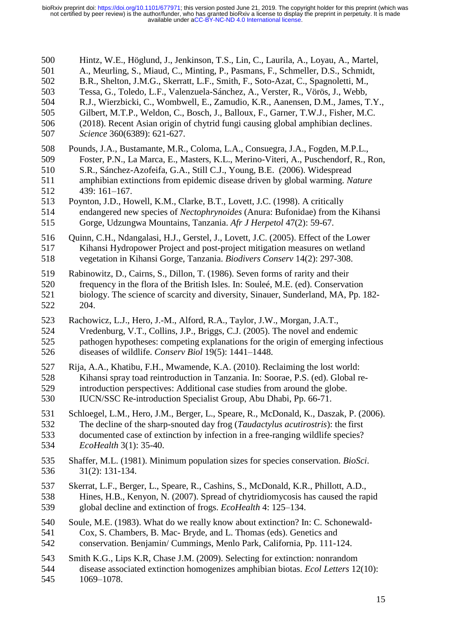| 500 | Hintz, W.E., Höglund, J., Jenkinson, T.S., Lin, C., Laurila, A., Loyau, A., Martel,      |
|-----|------------------------------------------------------------------------------------------|
| 501 | A., Meurling, S., Miaud, C., Minting, P., Pasmans, F., Schmeller, D.S., Schmidt,         |
| 502 | B.R., Shelton, J.M.G., Skerratt, L.F., Smith, F., Soto-Azat, C., Spagnoletti, M.,        |
| 503 | Tessa, G., Toledo, L.F., Valenzuela-Sánchez, A., Verster, R., Vörös, J., Webb,           |
| 504 | R.J., Wierzbicki, C., Wombwell, E., Zamudio, K.R., Aanensen, D.M., James, T.Y.,          |
| 505 | Gilbert, M.T.P., Weldon, C., Bosch, J., Balloux, F., Garner, T.W.J., Fisher, M.C.        |
| 506 | (2018). Recent Asian origin of chytrid fungi causing global amphibian declines.          |
| 507 | Science 360(6389): 621-627.                                                              |
| 508 | Pounds, J.A., Bustamante, M.R., Coloma, L.A., Consuegra, J.A., Fogden, M.P.L.,           |
| 509 | Foster, P.N., La Marca, E., Masters, K.L., Merino-Viteri, A., Puschendorf, R., Ron,      |
| 510 | S.R., Sánchez-Azofeifa, G.A., Still C.J., Young, B.E. (2006). Widespread                 |
| 511 | amphibian extinctions from epidemic disease driven by global warming. Nature             |
| 512 | 439: 161-167.                                                                            |
| 513 | Poynton, J.D., Howell, K.M., Clarke, B.T., Lovett, J.C. (1998). A critically             |
| 514 | endangered new species of Nectophrynoides (Anura: Bufonidae) from the Kihansi            |
| 515 | Gorge, Udzungwa Mountains, Tanzania. Afr J Herpetol 47(2): 59-67.                        |
| 516 | Quinn, C.H., Ndangalasi, H.J., Gerstel, J., Lovett, J.C. (2005). Effect of the Lower     |
| 517 | Kihansi Hydropower Project and post-project mitigation measures on wetland               |
| 518 | vegetation in Kihansi Gorge, Tanzania. Biodivers Conserv 14(2): 297-308.                 |
| 519 | Rabinowitz, D., Cairns, S., Dillon, T. (1986). Seven forms of rarity and their           |
| 520 | frequency in the flora of the British Isles. In: Souleé, M.E. (ed). Conservation         |
| 521 | biology. The science of scarcity and diversity, Sinauer, Sunderland, MA, Pp. 182-        |
| 522 | 204.                                                                                     |
| 523 | Rachowicz, L.J., Hero, J.-M., Alford, R.A., Taylor, J.W., Morgan, J.A.T.,                |
| 524 | Vredenburg, V.T., Collins, J.P., Briggs, C.J. (2005). The novel and endemic              |
| 525 | pathogen hypotheses: competing explanations for the origin of emerging infectious        |
| 526 | diseases of wildlife. Conserv Biol 19(5): 1441-1448.                                     |
| 527 | Rija, A.A., Khatibu, F.H., Mwamende, K.A. (2010). Reclaiming the lost world:             |
| 528 | Kihansi spray toad reintroduction in Tanzania. In: Soorae, P.S. (ed). Global re-         |
| 529 | introduction perspectives: Additional case studies from around the globe.                |
| 530 | IUCN/SSC Re-introduction Specialist Group, Abu Dhabi, Pp. 66-71.                         |
| 531 | Schloegel, L.M., Hero, J.M., Berger, L., Speare, R., McDonald, K., Daszak, P. (2006).    |
| 532 | The decline of the sharp-snouted day frog (Taudactylus acutirostris): the first          |
| 533 | documented case of extinction by infection in a free-ranging wildlife species?           |
| 534 | <i>EcoHealth</i> 3(1): 35-40.                                                            |
| 535 | Shaffer, M.L. (1981). Minimum population sizes for species conservation. <i>BioSci</i> . |
| 536 | $31(2): 131-134.$                                                                        |
| 537 | Skerrat, L.F., Berger, L., Speare, R., Cashins, S., McDonald, K.R., Phillott, A.D.,      |
| 538 | Hines, H.B., Kenyon, N. (2007). Spread of chytridiomycosis has caused the rapid          |
| 539 | global decline and extinction of frogs. EcoHealth 4: 125-134.                            |
| 540 | Soule, M.E. (1983). What do we really know about extinction? In: C. Schonewald-          |
| 541 | Cox, S. Chambers, B. Mac- Bryde, and L. Thomas (eds). Genetics and                       |
| 542 | conservation. Benjamin/ Cummings, Menlo Park, California, Pp. 111-124.                   |
| 543 | Smith K.G., Lips K.R, Chase J.M. (2009). Selecting for extinction: nonrandom             |
| 544 | disease associated extinction homogenizes amphibian biotas. Ecol Letters 12(10):         |
| 545 | 1069-1078.                                                                               |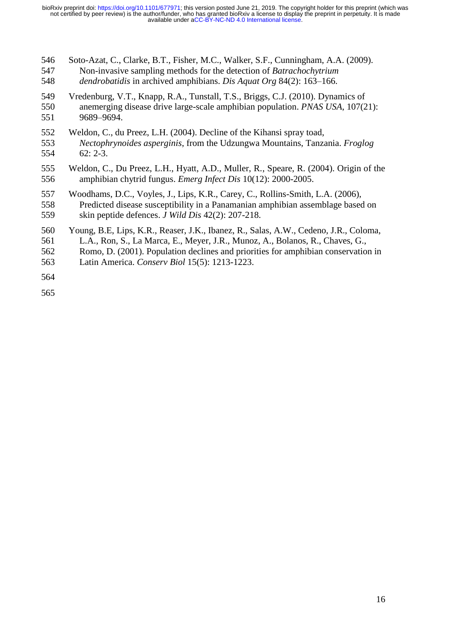| 546 | Soto-Azat, C., Clarke, B.T., Fisher, M.C., Walker, S.F., Cunningham, A.A. (2009).     |
|-----|---------------------------------------------------------------------------------------|
| 547 | Non-invasive sampling methods for the detection of Batrachochytrium                   |
| 548 | dendrobatidis in archived amphibians. Dis Aquat Org 84(2): 163-166.                   |
| 549 | Vredenburg, V.T., Knapp, R.A., Tunstall, T.S., Briggs, C.J. (2010). Dynamics of       |
| 550 | anemerging disease drive large-scale amphibian population. <i>PNAS USA</i> , 107(21): |
| 551 | 9689-9694.                                                                            |
| 552 | Weldon, C., du Preez, L.H. (2004). Decline of the Kihansi spray toad,                 |
| 553 | Nectophrynoides asperginis, from the Udzungwa Mountains, Tanzania. Froglog            |
| 554 | $62: 2-3.$                                                                            |
| 555 | Weldon, C., Du Preez, L.H., Hyatt, A.D., Muller, R., Speare, R. (2004). Origin of the |
| 556 | amphibian chytrid fungus. <i>Emerg Infect Dis</i> 10(12): 2000-2005.                  |
| 557 | Woodhams, D.C., Voyles, J., Lips, K.R., Carey, C., Rollins-Smith, L.A. (2006),        |
| 558 | Predicted disease susceptibility in a Panamanian amphibian assemblage based on        |
| 559 | skin peptide defences. <i>J Wild Dis</i> 42(2): 207-218.                              |
| 560 | Young, B.E, Lips, K.R., Reaser, J.K., Ibanez, R., Salas, A.W., Cedeno, J.R., Coloma,  |
| 561 | L.A., Ron, S., La Marca, E., Meyer, J.R., Munoz, A., Bolanos, R., Chaves, G.,         |
| 562 | Romo, D. (2001). Population declines and priorities for amphibian conservation in     |
| 563 | Latin America. Conserv Biol 15(5): 1213-1223.                                         |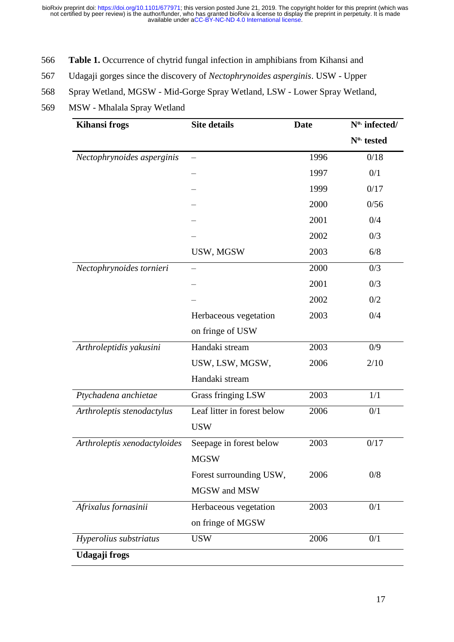- 566 **Table 1.** Occurrence of chytrid fungal infection in amphibians from Kihansi and
- 567 Udagaji gorges since the discovery of *Nectophrynoides asperginis*. USW Upper
- 568 Spray Wetland, MGSW Mid-Gorge Spray Wetland, LSW Lower Spray Wetland,
- 569 MSW Mhalala Spray Wetland

| <b>Kihansi frogs</b>         | <b>Site details</b>         | <b>Date</b> | N <sup>o.</sup> infected/ |
|------------------------------|-----------------------------|-------------|---------------------------|
|                              |                             |             | N <sup>o.</sup> tested    |
| Nectophrynoides asperginis   |                             | 1996        | 0/18                      |
|                              |                             | 1997        | 0/1                       |
|                              |                             | 1999        | 0/17                      |
|                              |                             | 2000        | 0/56                      |
|                              |                             | 2001        | 0/4                       |
|                              |                             | 2002        | 0/3                       |
|                              | USW, MGSW                   | 2003        | 6/8                       |
| Nectophrynoides tornieri     |                             | 2000        | 0/3                       |
|                              |                             | 2001        | 0/3                       |
|                              |                             | 2002        | 0/2                       |
|                              | Herbaceous vegetation       | 2003        | 0/4                       |
|                              | on fringe of USW            |             |                           |
| Arthroleptidis yakusini      | Handaki stream              | 2003        | 0/9                       |
|                              | USW, LSW, MGSW,             | 2006        | 2/10                      |
|                              | Handaki stream              |             |                           |
| Ptychadena anchietae         | Grass fringing LSW          | 2003        | 1/1                       |
| Arthroleptis stenodactylus   | Leaf litter in forest below | 2006        | 0/1                       |
|                              | <b>USW</b>                  |             |                           |
| Arthroleptis xenodactyloides | Seepage in forest below     | 2003        | 0/17                      |
|                              | <b>MGSW</b>                 |             |                           |
|                              | Forest surrounding USW,     | 2006        | 0/8                       |
|                              | MGSW and MSW                |             |                           |
| Afrixalus fornasinii         | Herbaceous vegetation       | 2003        | 0/1                       |
|                              | on fringe of MGSW           |             |                           |
| Hyperolius substriatus       | <b>USW</b>                  | 2006        | 0/1                       |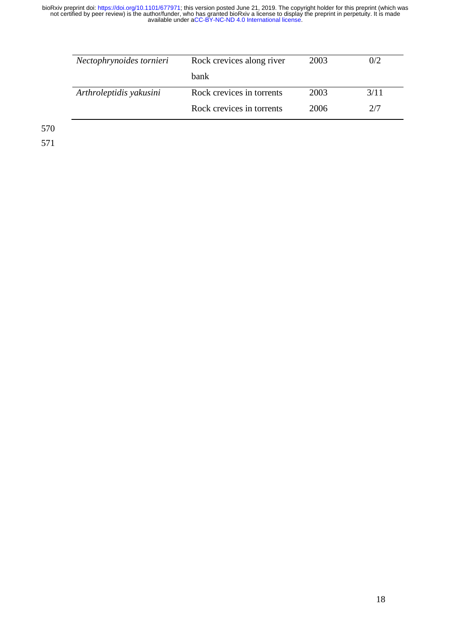| Nectophrynoides tornieri | Rock crevices along river | 2003 | 0/2  |
|--------------------------|---------------------------|------|------|
|                          | <b>bank</b>               |      |      |
| Arthroleptidis yakusini  | Rock crevices in torrents | 2003 | 3/11 |
|                          | Rock crevices in torrents | 2006 | 2/7  |

570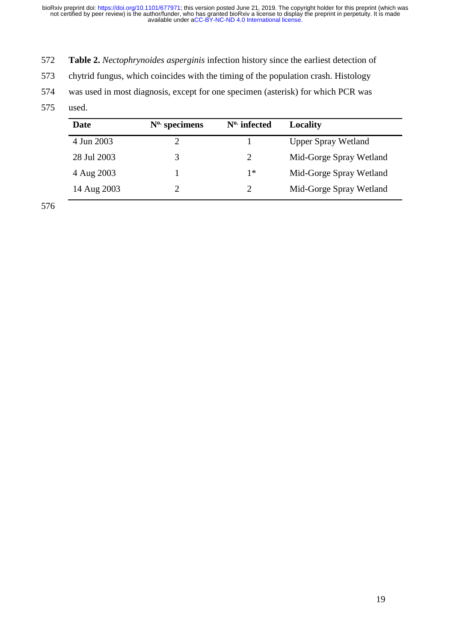- 572 **Table 2.** *Nectophrynoides asperginis* infection history since the earliest detection of
- 573 chytrid fungus, which coincides with the timing of the population crash. Histology
- 574 was used in most diagnosis, except for one specimen (asterisk) for which PCR was
- 575 used.

| Date        | $N0$ specimens | $N^0$ infected              | Locality                   |
|-------------|----------------|-----------------------------|----------------------------|
| 4 Jun 2003  |                |                             | <b>Upper Spray Wetland</b> |
| 28 Jul 2003 | 3              | 2                           | Mid-Gorge Spray Wetland    |
| 4 Aug 2003  |                | 1*                          | Mid-Gorge Spray Wetland    |
| 14 Aug 2003 |                | $\mathcal{D}_{\mathcal{L}}$ | Mid-Gorge Spray Wetland    |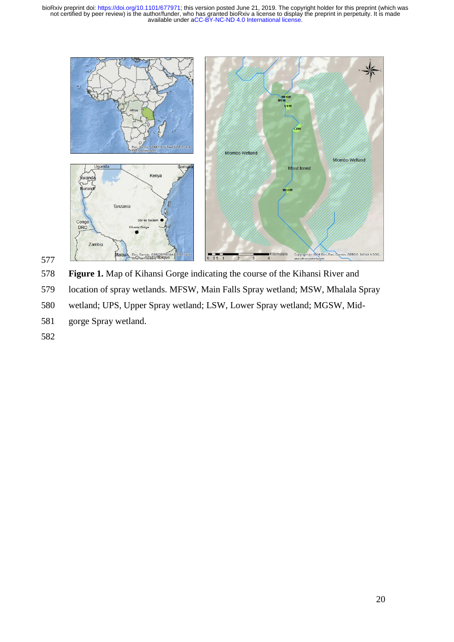



**Figure 1.** Map of Kihansi Gorge indicating the course of the Kihansi River and

- location of spray wetlands. MFSW, Main Falls Spray wetland; MSW, Mhalala Spray
- wetland; UPS, Upper Spray wetland; LSW, Lower Spray wetland; MGSW, Mid-
- gorge Spray wetland.
-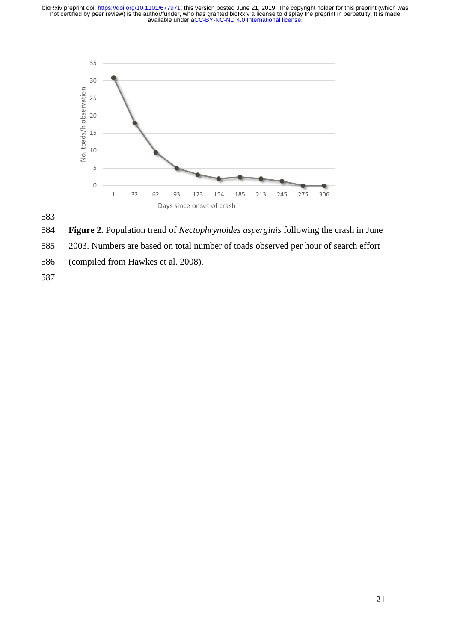

**Figure 2.** Population trend of *Nectophrynoides asperginis* following the crash in June

2003. Numbers are based on total number of toads observed per hour of search effort

(compiled from Hawkes et al. 2008).